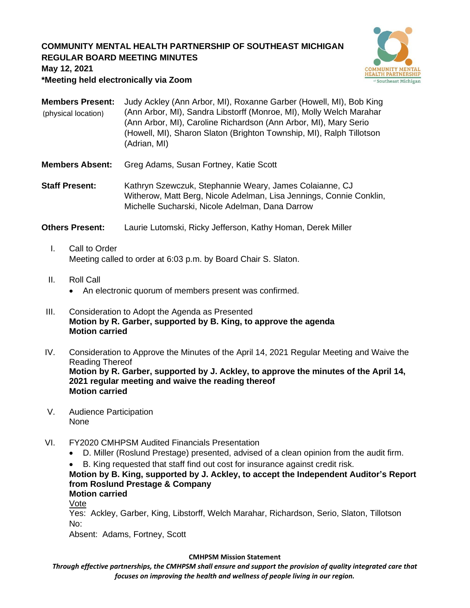# **COMMUNITY MENTAL HEALTH PARTNERSHIP OF SOUTHEAST MICHIGAN REGULAR BOARD MEETING MINUTES**



**May 12, 2021**

**\*Meeting held electronically via Zoom**

| <b>Members Present:</b><br>(physical location) | Judy Ackley (Ann Arbor, MI), Roxanne Garber (Howell, MI), Bob King<br>(Ann Arbor, MI), Sandra Libstorff (Monroe, MI), Molly Welch Marahar<br>(Ann Arbor, MI), Caroline Richardson (Ann Arbor, MI), Mary Serio<br>(Howell, MI), Sharon Slaton (Brighton Township, MI), Ralph Tillotson<br>(Adrian, MI) |
|------------------------------------------------|-------------------------------------------------------------------------------------------------------------------------------------------------------------------------------------------------------------------------------------------------------------------------------------------------------|
| Members Absent:                                | Greg Adams, Susan Fortney, Katie Scott                                                                                                                                                                                                                                                                |
| <b>Staff Present:</b>                          | Kathryn Szewczuk, Stephannie Weary, James Colaianne, CJ<br>Witherow, Matt Berg, Nicole Adelman, Lisa Jennings, Connie Conklin,<br>Michelle Sucharski, Nicole Adelman, Dana Darrow                                                                                                                     |
| <b>Others Present:</b>                         | Laurie Lutomski, Ricky Jefferson, Kathy Homan, Derek Miller                                                                                                                                                                                                                                           |

- I. Call to Order Meeting called to order at 6:03 p.m. by Board Chair S. Slaton.
- II. Roll Call
	- An electronic quorum of members present was confirmed.
- III. Consideration to Adopt the Agenda as Presented **Motion by R. Garber, supported by B. King, to approve the agenda Motion carried**
- IV. Consideration to Approve the Minutes of the April 14, 2021 Regular Meeting and Waive the Reading Thereof **Motion by R. Garber, supported by J. Ackley, to approve the minutes of the April 14, 2021 regular meeting and waive the reading thereof Motion carried**
- V. Audience Participation None
- VI. FY2020 CMHPSM Audited Financials Presentation
	- D. Miller (Roslund Prestage) presented, advised of a clean opinion from the audit firm.
	- B. King requested that staff find out cost for insurance against credit risk.

# **Motion by B. King, supported by J. Ackley, to accept the Independent Auditor's Report from Roslund Prestage & Company**

**Motion carried** Vote

Yes: Ackley, Garber, King, Libstorff, Welch Marahar, Richardson, Serio, Slaton, Tillotson No:

Absent: Adams, Fortney, Scott

## **CMHPSM Mission Statement**

*Through effective partnerships, the CMHPSM shall ensure and support the provision of quality integrated care that focuses on improving the health and wellness of people living in our region.*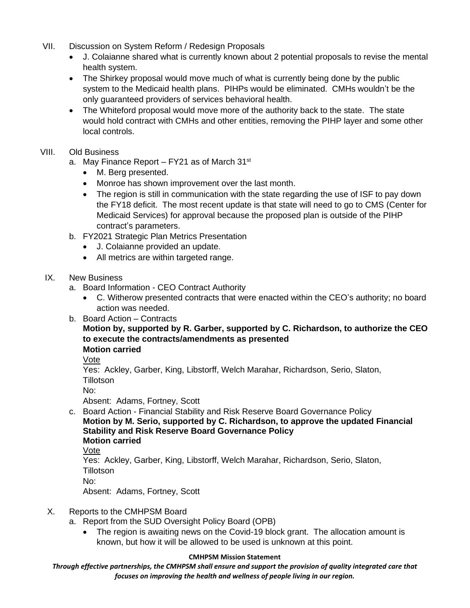- VII. Discussion on System Reform / Redesign Proposals
	- J. Colaianne shared what is currently known about 2 potential proposals to revise the mental health system.
	- The Shirkey proposal would move much of what is currently being done by the public system to the Medicaid health plans. PIHPs would be eliminated. CMHs wouldn't be the only guaranteed providers of services behavioral health.
	- The Whiteford proposal would move more of the authority back to the state. The state would hold contract with CMHs and other entities, removing the PIHP layer and some other local controls.

# VIII. Old Business

- a. May Finance Report FY21 as of March 31<sup>st</sup>
	- M. Berg presented.
	- Monroe has shown improvement over the last month.
	- The region is still in communication with the state regarding the use of ISF to pay down the FY18 deficit. The most recent update is that state will need to go to CMS (Center for Medicaid Services) for approval because the proposed plan is outside of the PIHP contract's parameters.
- b. FY2021 Strategic Plan Metrics Presentation
	- J. Colaianne provided an update.
	- All metrics are within targeted range.

## IX. New Business

- a. Board Information CEO Contract Authority
	- C. Witherow presented contracts that were enacted within the CEO's authority; no board action was needed.
- b. Board Action Contracts

#### **Motion by, supported by R. Garber, supported by C. Richardson, to authorize the CEO to execute the contracts/amendments as presented Motion carried**

Vote

Yes: Ackley, Garber, King, Libstorff, Welch Marahar, Richardson, Serio, Slaton, **Tillotson** 

No:

Absent: Adams, Fortney, Scott

c. Board Action - Financial Stability and Risk Reserve Board Governance Policy **Motion by M. Serio, supported by C. Richardson, to approve the updated Financial Stability and Risk Reserve Board Governance Policy Motion carried**

Vote

Yes: Ackley, Garber, King, Libstorff, Welch Marahar, Richardson, Serio, Slaton, **Tillotson** 

No:

Absent: Adams, Fortney, Scott

## X. Reports to the CMHPSM Board

- a. Report from the SUD Oversight Policy Board (OPB)
	- The region is awaiting news on the Covid-19 block grant. The allocation amount is known, but how it will be allowed to be used is unknown at this point.

## **CMHPSM Mission Statement**

*Through effective partnerships, the CMHPSM shall ensure and support the provision of quality integrated care that focuses on improving the health and wellness of people living in our region.*